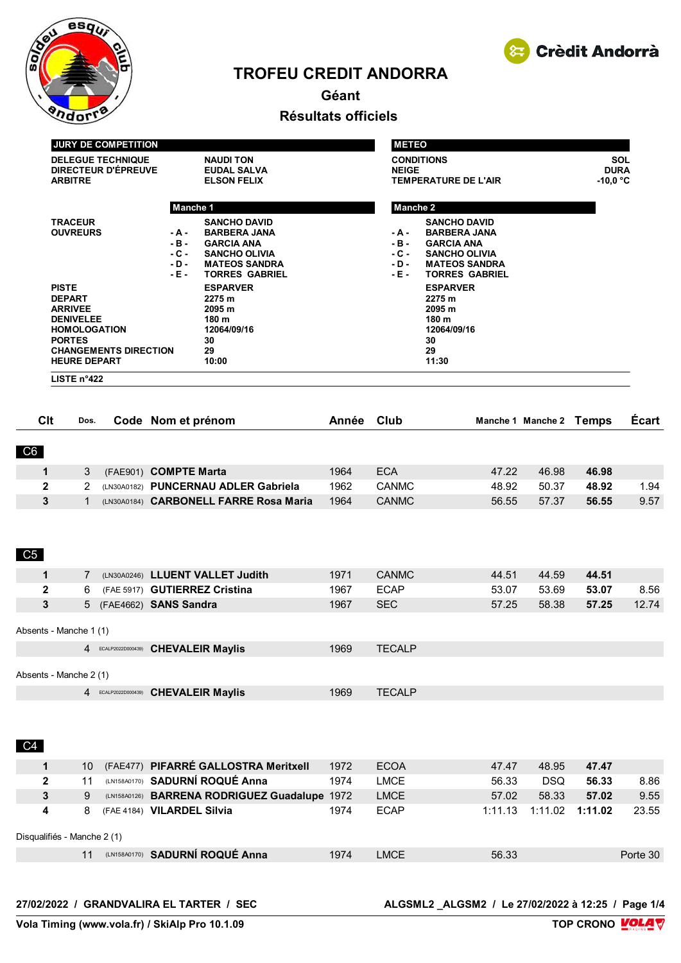

# **TROFEU CREDIT ANDORRA**



# **Géant Résultats officiels**

| <b>JURY DE COMPETITION</b>   |                       | <b>METEO</b> |                       |                  |
|------------------------------|-----------------------|--------------|-----------------------|------------------|
| <b>DELEGUE TECHNIQUE</b>     | <b>NAUDI TON</b>      |              | <b>CONDITIONS</b>     | <b>SOL</b>       |
| DIRECTEUR D'ÉPREUVE          | <b>EUDAL SALVA</b>    | <b>NEIGE</b> |                       | <b>DURA</b>      |
| <b>ARBITRE</b>               | <b>ELSON FELIX</b>    |              | TEMPERATURE DE L'AIR  | $-10,0\degree$ C |
|                              | Manche 1              | Manche 2     |                       |                  |
| <b>TRACEUR</b>               | <b>SANCHO DAVID</b>   |              | <b>SANCHO DAVID</b>   |                  |
| <b>OUVREURS</b><br>- A -     | <b>BARBERA JANA</b>   | - A -        | <b>BARBERA JANA</b>   |                  |
| $-B -$                       | <b>GARCIA ANA</b>     | $-B -$       | <b>GARCIA ANA</b>     |                  |
| $-C -$                       | <b>SANCHO OLIVIA</b>  | $-C -$       | <b>SANCHO OLIVIA</b>  |                  |
| $-D -$                       | <b>MATEOS SANDRA</b>  | $-D -$       | <b>MATEOS SANDRA</b>  |                  |
| - E -                        | <b>TORRES GABRIEL</b> | $-E$ -       | <b>TORRES GABRIEL</b> |                  |
| <b>PISTE</b>                 | <b>ESPARVER</b>       |              | <b>ESPARVER</b>       |                  |
| <b>DEPART</b>                | 2275 m                |              | 2275 m                |                  |
| <b>ARRIVEE</b>               | 2095 m                |              | 2095m                 |                  |
| <b>DENIVELEE</b>             | 180 m                 |              | 180 m                 |                  |
| <b>HOMOLOGATION</b>          | 12064/09/16           |              | 12064/09/16           |                  |
| <b>PORTES</b>                | 30                    |              | 30                    |                  |
| <b>CHANGEMENTS DIRECTION</b> | 29                    |              | 29                    |                  |
| <b>HEURE DEPART</b>          | 10:00                 |              | 11:30                 |                  |
| LISTE $n^{\circ}422$         |                       |              |                       |                  |

| Clt                    | Dos. |                     | Code Nom et prénom                     | Année | Club          |       | Manche 1 Manche 2 | Temps | <b>Ecart</b> |
|------------------------|------|---------------------|----------------------------------------|-------|---------------|-------|-------------------|-------|--------------|
| C6                     |      |                     |                                        |       |               |       |                   |       |              |
| 1                      | 3    |                     | (FAE901) COMPTE Marta                  | 1964  | <b>ECA</b>    | 47.22 | 46.98             | 46.98 |              |
| $\mathbf{2}$           | 2    |                     | (LN30A0182) PUNCERNAU ADLER Gabriela   | 1962  | <b>CANMC</b>  | 48.92 | 50.37             | 48.92 | 1.94         |
| 3                      |      |                     | (LN30A0184) CARBONELL FARRE Rosa Maria | 1964  | <b>CANMC</b>  | 56.55 | 57.37             | 56.55 | 9.57         |
| C5                     |      |                     |                                        |       |               |       |                   |       |              |
| 1                      | 7    |                     | (LN30A0246) LLUENT VALLET Judith       | 1971  | <b>CANMC</b>  | 44.51 | 44.59             | 44.51 |              |
| $\mathbf{2}$           | 6    |                     | (FAE 5917) GUTIERREZ Cristina          | 1967  | <b>ECAP</b>   | 53.07 | 53.69             | 53.07 | 8.56         |
| 3                      |      |                     | 5 (FAE4662) SANS Sandra                | 1967  | <b>SEC</b>    | 57.25 | 58.38             | 57.25 | 12.74        |
| Absents - Manche 1 (1) |      |                     |                                        |       |               |       |                   |       |              |
|                        |      | 4 ECALP2022D000439) | <b>CHEVALEIR Maylis</b>                | 1969  | <b>TECALP</b> |       |                   |       |              |
| Absents - Manche 2 (1) |      |                     |                                        |       |               |       |                   |       |              |

| ECALP2022D000439) CHEVALEIR Maylis | 1969 | <b>TECALP</b> |
|------------------------------------|------|---------------|

C<sub>4</sub>

|                             | 1 | 10 |  | (FAE477) PIFARRÉ GALLOSTRA Meritxell          | 1972 | <b>ECOA</b> | 47.47   | 48.95      | 47.47   |          |
|-----------------------------|---|----|--|-----------------------------------------------|------|-------------|---------|------------|---------|----------|
|                             | 2 |    |  | (LN158A0170) SADURNÍ ROQUÉ Anna               | 1974 | <b>LMCE</b> | 56.33   | <b>DSQ</b> | 56.33   | 8.86     |
|                             | 3 | 9  |  | (LN158A0126) BARRENA RODRIGUEZ Guadalupe 1972 |      | <b>LMCE</b> | 57.02   | 58.33      | 57.02   | 9.55     |
|                             | 4 |    |  | (FAE 4184) VILARDEL Silvia                    | 1974 | <b>ECAP</b> | 1:11.13 | 1:11.02    | 1:11.02 | 23.55    |
| Disqualifiés - Manche 2 (1) |   |    |  |                                               |      |             |         |            |         |          |
|                             |   |    |  | (LN158A0170) SADURNÍ ROQUÉ Anna               | 1974 | <b>LMCE</b> | 56.33   |            |         | Porte 30 |
|                             |   |    |  |                                               |      |             |         |            |         |          |

**27/02/2022 / GRANDVALIRA EL TARTER / SEC ALGSML2 \_ALGSM2 / Le 27/02/2022 à 12:25 / Page 1/4**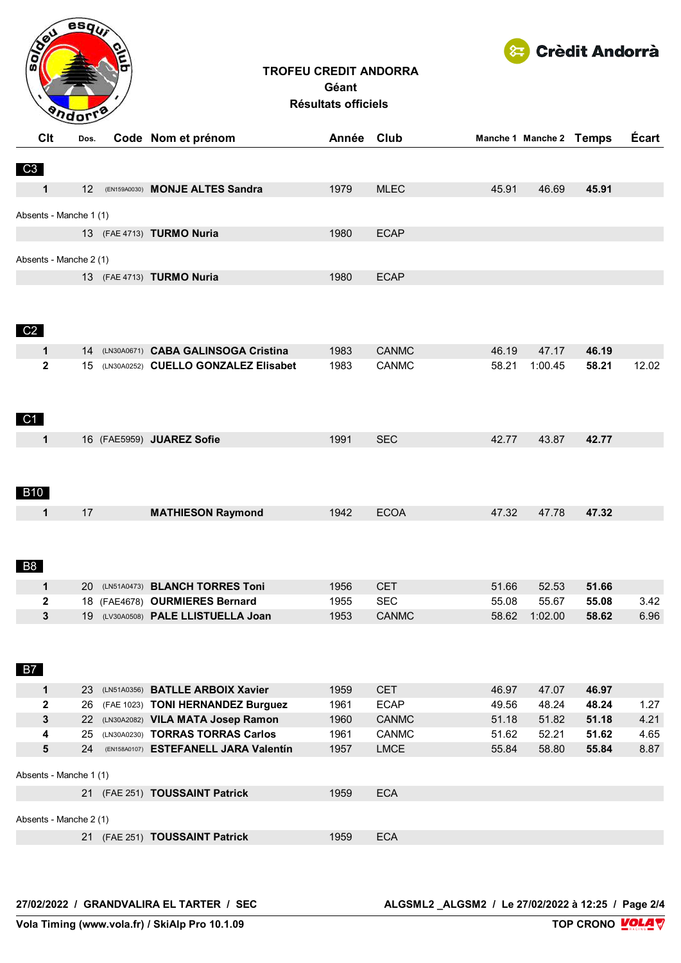

### **TROFEU CREDIT ANDORRA Géant Résultats officiels**



| Clt                | Dos.                         | Code Nom et prénom                      | Année Club |              |       | Manche 1 Manche 2 Temps |       | Écart |
|--------------------|------------------------------|-----------------------------------------|------------|--------------|-------|-------------------------|-------|-------|
| C3                 |                              |                                         |            |              |       |                         |       |       |
| 1                  | 12 <sup>2</sup>              | (EN159A0030) MONJE ALTES Sandra         | 1979       | <b>MLEC</b>  | 45.91 | 46.69                   | 45.91 |       |
|                    | Absents - Manche 1 (1)       |                                         |            |              |       |                         |       |       |
|                    |                              | 13 (FAE 4713) TURMO Nuria               | 1980       | <b>ECAP</b>  |       |                         |       |       |
|                    | Absents - Manche 2 (1)       |                                         |            |              |       |                         |       |       |
|                    |                              | 13 (FAE 4713) TURMO Nuria               | 1980       | <b>ECAP</b>  |       |                         |       |       |
| C <sub>2</sub>     |                              |                                         |            |              |       |                         |       |       |
| 1                  |                              | 14 (LN30A0671) CABA GALINSOGA Cristina  | 1983       | <b>CANMC</b> | 46.19 | 47.17                   | 46.19 |       |
| $\mathbf{2}$<br>C1 |                              | 15 (LN30A0252) CUELLO GONZALEZ Elisabet | 1983       | <b>CANMC</b> | 58.21 | 1:00.45                 | 58.21 | 12.02 |
| 1                  |                              | 16 (FAE5959) JUAREZ Sofie               | 1991       | <b>SEC</b>   | 42.77 | 43.87                   | 42.77 |       |
| <b>B10</b>         |                              |                                         |            |              |       |                         |       |       |
| 1                  | 17                           | <b>MATHIESON Raymond</b>                | 1942       | <b>ECOA</b>  | 47.32 | 47.78                   | 47.32 |       |
| <b>B8</b>          |                              |                                         |            |              |       |                         |       |       |
| 1                  |                              | 20 (LN51A0473) BLANCH TORRES Toni       | 1956       | <b>CET</b>   | 51.66 | 52.53                   | 51.66 |       |
| $\mathbf{2}$       |                              | 18 (FAE4678) OURMIERES Bernard          | 1955       | <b>SEC</b>   | 55.08 | 55.67                   | 55.08 | 3.42  |
| 3<br><b>B7</b>     |                              | 19 (LV30A0508) PALE LLISTUELLA Joan     | 1953       | <b>CANMC</b> | 58.62 | 1:02.00                 | 58.62 | 6.96  |
| 1                  |                              | 23 (LN51A0356) BATLLE ARBOIX Xavier     | 1959       | <b>CET</b>   | 46.97 | 47.07                   | 46.97 |       |
| $\mathbf{2}$       | 26                           | (FAE 1023) TONI HERNANDEZ Burguez       | 1961       | <b>ECAP</b>  | 49.56 | 48.24                   | 48.24 | 1.27  |
| 3                  | 22                           | (LN30A2082) VILA MATA Josep Ramon       | 1960       | CANMC        | 51.18 | 51.82                   | 51.18 | 4.21  |
| 4                  | 25                           | (LN30A0230) TORRAS TORRAS Carlos        | 1961       | <b>CANMC</b> | 51.62 | 52.21                   | 51.62 | 4.65  |
| 5                  | 24<br>Absents - Manche 1 (1) | (EN158A0107) ESTEFANELL JARA Valentín   | 1957       | <b>LMCE</b>  | 55.84 | 58.80                   | 55.84 | 8.87  |
|                    |                              |                                         |            |              |       |                         |       |       |
|                    |                              | 21 (FAE 251) TOUSSAINT Patrick          | 1959       | <b>ECA</b>   |       |                         |       |       |
|                    | Absents - Manche 2 (1)       |                                         |            |              |       |                         |       |       |
|                    |                              | 21 (FAE 251) TOUSSAINT Patrick          | 1959       | <b>ECA</b>   |       |                         |       |       |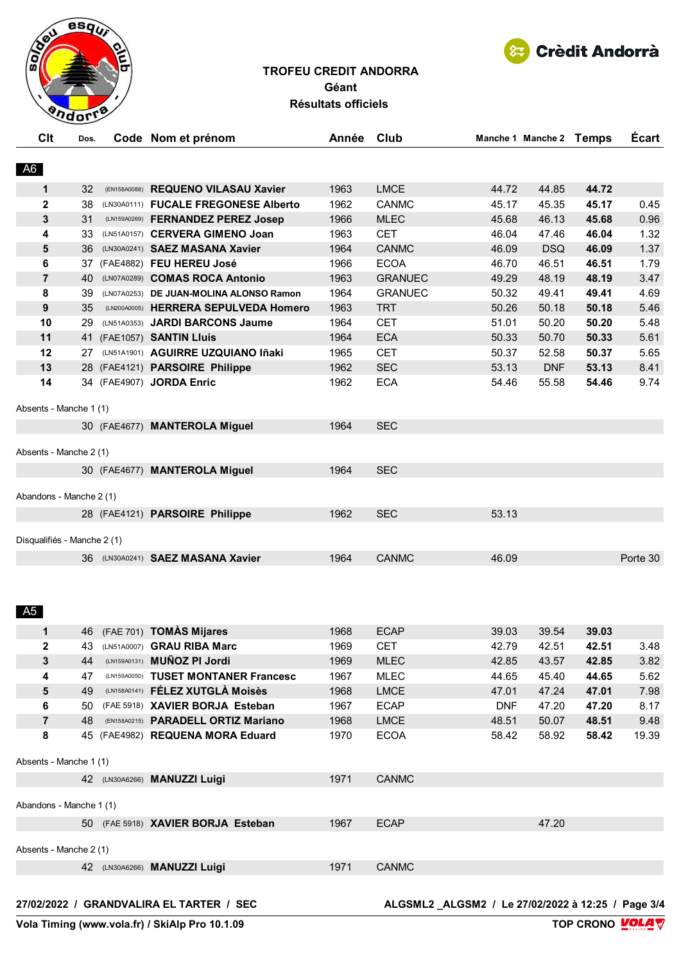

# Crèdit Andorrà

## **TROFEU CREDIT ANDORRA Géant Résultats officiels**

| A <sub>6</sub><br>1963<br><b>LMCE</b><br>44.85<br>44.72<br>1<br>32<br>(EN158A0088) REQUENO VILASAU Xavier<br>44.72<br>$\mathbf{2}$<br>45.35<br>(LN30A0111) FUCALE FREGONESE Alberto<br>1962<br><b>CANMC</b><br>45.17<br>45.17<br>38<br>3<br>31<br>(LN159A0269) FERNANDEZ PEREZ Josed<br>1966<br><b>MLEC</b><br>45.68<br>46.13<br>45.68<br>4<br>33<br>(LN51A0157) CERVERA GIMENO Joan<br>1963<br><b>CET</b><br>46.04<br>47.46<br>46.04<br>5<br>36<br>(LN30A0241) SAEZ MASANA Xavier<br>1964<br><b>CANMC</b><br>46.09<br><b>DSQ</b><br>46.09<br>6<br><b>ECOA</b><br>46.51<br>46.51<br>37 (FAE4882) FEU HEREU José<br>1966<br>46.70<br>$\overline{7}$<br>48.19<br>(LN07A0289) COMAS ROCA Antonio<br>1963<br><b>GRANUEC</b><br>49.29<br>48.19<br>40<br>8<br>1964<br><b>GRANUEC</b><br>50.32<br>49.41<br>49.41<br>39<br>(LN07A0253) DE JUAN-MOLINA ALONSO Ramon<br>9<br>35<br>(LN200A0005) HERRERA SEPULVEDA Homero<br>1963<br><b>TRT</b><br>50.26<br>50.18<br>50.18<br>10<br>50.20<br>29<br>(LN51A0353) JARDI BARCONS Jaume<br>1964<br><b>CET</b><br>51.01<br>50.20<br>11<br><b>ECA</b><br>50.70<br>41 (FAE1057) SANTIN Lluis<br>1964<br>50.33<br>50.33<br>12<br>(LN51A1901) AGUIRRE UZQUIANO Iñaki<br><b>CET</b><br>52.58<br>50.37<br>1965<br>50.37<br>27<br>13<br>28 (FAE4121) PARSOIRE Philippe<br>1962<br><b>SEC</b><br>53.13<br>53.13<br><b>DNF</b><br>14<br><b>ECA</b><br>34 (FAE4907) JORDA Enric<br>1962<br>54.46<br>55.58<br>54.46<br>Absents - Manche 1 (1)<br><b>SEC</b><br>30 (FAE4677) MANTEROLA Miguel<br>1964<br>Absents - Manche 2 (1)<br><b>SEC</b><br>30 (FAE4677) MANTEROLA Miguel<br>1964<br>Abandons - Manche 2 (1)<br>1962<br><b>SEC</b><br>53.13<br>28 (FAE4121) PARSOIRE Philippe<br>Disqualifiés - Manche 2 (1)<br>36 (LN30A0241) SAEZ MASANA Xavier | <b>Écart</b><br>Manche 1 Manche 2 Temps |       |              | Année Club | Code Nom et prénom | Dos. | Clt |
|---------------------------------------------------------------------------------------------------------------------------------------------------------------------------------------------------------------------------------------------------------------------------------------------------------------------------------------------------------------------------------------------------------------------------------------------------------------------------------------------------------------------------------------------------------------------------------------------------------------------------------------------------------------------------------------------------------------------------------------------------------------------------------------------------------------------------------------------------------------------------------------------------------------------------------------------------------------------------------------------------------------------------------------------------------------------------------------------------------------------------------------------------------------------------------------------------------------------------------------------------------------------------------------------------------------------------------------------------------------------------------------------------------------------------------------------------------------------------------------------------------------------------------------------------------------------------------------------------------------------------------------------------------------------------------------------------------------------------------------------------------------------------|-----------------------------------------|-------|--------------|------------|--------------------|------|-----|
|                                                                                                                                                                                                                                                                                                                                                                                                                                                                                                                                                                                                                                                                                                                                                                                                                                                                                                                                                                                                                                                                                                                                                                                                                                                                                                                                                                                                                                                                                                                                                                                                                                                                                                                                                                           |                                         |       |              |            |                    |      |     |
|                                                                                                                                                                                                                                                                                                                                                                                                                                                                                                                                                                                                                                                                                                                                                                                                                                                                                                                                                                                                                                                                                                                                                                                                                                                                                                                                                                                                                                                                                                                                                                                                                                                                                                                                                                           |                                         |       |              |            |                    |      |     |
|                                                                                                                                                                                                                                                                                                                                                                                                                                                                                                                                                                                                                                                                                                                                                                                                                                                                                                                                                                                                                                                                                                                                                                                                                                                                                                                                                                                                                                                                                                                                                                                                                                                                                                                                                                           | 0.45                                    |       |              |            |                    |      |     |
|                                                                                                                                                                                                                                                                                                                                                                                                                                                                                                                                                                                                                                                                                                                                                                                                                                                                                                                                                                                                                                                                                                                                                                                                                                                                                                                                                                                                                                                                                                                                                                                                                                                                                                                                                                           | 0.96                                    |       |              |            |                    |      |     |
|                                                                                                                                                                                                                                                                                                                                                                                                                                                                                                                                                                                                                                                                                                                                                                                                                                                                                                                                                                                                                                                                                                                                                                                                                                                                                                                                                                                                                                                                                                                                                                                                                                                                                                                                                                           | 1.32                                    |       |              |            |                    |      |     |
|                                                                                                                                                                                                                                                                                                                                                                                                                                                                                                                                                                                                                                                                                                                                                                                                                                                                                                                                                                                                                                                                                                                                                                                                                                                                                                                                                                                                                                                                                                                                                                                                                                                                                                                                                                           | 1.37                                    |       |              |            |                    |      |     |
|                                                                                                                                                                                                                                                                                                                                                                                                                                                                                                                                                                                                                                                                                                                                                                                                                                                                                                                                                                                                                                                                                                                                                                                                                                                                                                                                                                                                                                                                                                                                                                                                                                                                                                                                                                           | 1.79                                    |       |              |            |                    |      |     |
|                                                                                                                                                                                                                                                                                                                                                                                                                                                                                                                                                                                                                                                                                                                                                                                                                                                                                                                                                                                                                                                                                                                                                                                                                                                                                                                                                                                                                                                                                                                                                                                                                                                                                                                                                                           | 3.47                                    |       |              |            |                    |      |     |
|                                                                                                                                                                                                                                                                                                                                                                                                                                                                                                                                                                                                                                                                                                                                                                                                                                                                                                                                                                                                                                                                                                                                                                                                                                                                                                                                                                                                                                                                                                                                                                                                                                                                                                                                                                           | 4.69                                    |       |              |            |                    |      |     |
|                                                                                                                                                                                                                                                                                                                                                                                                                                                                                                                                                                                                                                                                                                                                                                                                                                                                                                                                                                                                                                                                                                                                                                                                                                                                                                                                                                                                                                                                                                                                                                                                                                                                                                                                                                           | 5.46                                    |       |              |            |                    |      |     |
|                                                                                                                                                                                                                                                                                                                                                                                                                                                                                                                                                                                                                                                                                                                                                                                                                                                                                                                                                                                                                                                                                                                                                                                                                                                                                                                                                                                                                                                                                                                                                                                                                                                                                                                                                                           | 5.48                                    |       |              |            |                    |      |     |
|                                                                                                                                                                                                                                                                                                                                                                                                                                                                                                                                                                                                                                                                                                                                                                                                                                                                                                                                                                                                                                                                                                                                                                                                                                                                                                                                                                                                                                                                                                                                                                                                                                                                                                                                                                           | 5.61                                    |       |              |            |                    |      |     |
|                                                                                                                                                                                                                                                                                                                                                                                                                                                                                                                                                                                                                                                                                                                                                                                                                                                                                                                                                                                                                                                                                                                                                                                                                                                                                                                                                                                                                                                                                                                                                                                                                                                                                                                                                                           | 5.65                                    |       |              |            |                    |      |     |
|                                                                                                                                                                                                                                                                                                                                                                                                                                                                                                                                                                                                                                                                                                                                                                                                                                                                                                                                                                                                                                                                                                                                                                                                                                                                                                                                                                                                                                                                                                                                                                                                                                                                                                                                                                           | 8.41                                    |       |              |            |                    |      |     |
|                                                                                                                                                                                                                                                                                                                                                                                                                                                                                                                                                                                                                                                                                                                                                                                                                                                                                                                                                                                                                                                                                                                                                                                                                                                                                                                                                                                                                                                                                                                                                                                                                                                                                                                                                                           | 9.74                                    |       |              |            |                    |      |     |
|                                                                                                                                                                                                                                                                                                                                                                                                                                                                                                                                                                                                                                                                                                                                                                                                                                                                                                                                                                                                                                                                                                                                                                                                                                                                                                                                                                                                                                                                                                                                                                                                                                                                                                                                                                           |                                         |       |              |            |                    |      |     |
|                                                                                                                                                                                                                                                                                                                                                                                                                                                                                                                                                                                                                                                                                                                                                                                                                                                                                                                                                                                                                                                                                                                                                                                                                                                                                                                                                                                                                                                                                                                                                                                                                                                                                                                                                                           |                                         |       |              |            |                    |      |     |
|                                                                                                                                                                                                                                                                                                                                                                                                                                                                                                                                                                                                                                                                                                                                                                                                                                                                                                                                                                                                                                                                                                                                                                                                                                                                                                                                                                                                                                                                                                                                                                                                                                                                                                                                                                           |                                         |       |              |            |                    |      |     |
|                                                                                                                                                                                                                                                                                                                                                                                                                                                                                                                                                                                                                                                                                                                                                                                                                                                                                                                                                                                                                                                                                                                                                                                                                                                                                                                                                                                                                                                                                                                                                                                                                                                                                                                                                                           |                                         |       |              |            |                    |      |     |
|                                                                                                                                                                                                                                                                                                                                                                                                                                                                                                                                                                                                                                                                                                                                                                                                                                                                                                                                                                                                                                                                                                                                                                                                                                                                                                                                                                                                                                                                                                                                                                                                                                                                                                                                                                           |                                         |       |              |            |                    |      |     |
|                                                                                                                                                                                                                                                                                                                                                                                                                                                                                                                                                                                                                                                                                                                                                                                                                                                                                                                                                                                                                                                                                                                                                                                                                                                                                                                                                                                                                                                                                                                                                                                                                                                                                                                                                                           |                                         |       |              |            |                    |      |     |
|                                                                                                                                                                                                                                                                                                                                                                                                                                                                                                                                                                                                                                                                                                                                                                                                                                                                                                                                                                                                                                                                                                                                                                                                                                                                                                                                                                                                                                                                                                                                                                                                                                                                                                                                                                           |                                         |       |              |            |                    |      |     |
|                                                                                                                                                                                                                                                                                                                                                                                                                                                                                                                                                                                                                                                                                                                                                                                                                                                                                                                                                                                                                                                                                                                                                                                                                                                                                                                                                                                                                                                                                                                                                                                                                                                                                                                                                                           |                                         |       |              |            |                    |      |     |
|                                                                                                                                                                                                                                                                                                                                                                                                                                                                                                                                                                                                                                                                                                                                                                                                                                                                                                                                                                                                                                                                                                                                                                                                                                                                                                                                                                                                                                                                                                                                                                                                                                                                                                                                                                           | Porte 30                                | 46.09 | <b>CANMC</b> | 1964       |                    |      |     |
|                                                                                                                                                                                                                                                                                                                                                                                                                                                                                                                                                                                                                                                                                                                                                                                                                                                                                                                                                                                                                                                                                                                                                                                                                                                                                                                                                                                                                                                                                                                                                                                                                                                                                                                                                                           |                                         |       |              |            |                    |      |     |

#### A5

| $\mathbf 1$             | 46 |              | (FAE 701) TOMAS Mijares             | 1968 | <b>ECAP</b>                                       | 39.03      | 39.54 | 39.03 |       |
|-------------------------|----|--------------|-------------------------------------|------|---------------------------------------------------|------------|-------|-------|-------|
| $\mathbf{2}$            | 43 | (LN51A0007)  | <b>GRAU RIBA Marc</b>               | 1969 | <b>CET</b>                                        | 42.79      | 42.51 | 42.51 | 3.48  |
| 3                       | 44 | (LN159A0131) | MUÑOZ PI Jordi                      | 1969 | <b>MLEC</b>                                       | 42.85      | 43.57 | 42.85 | 3.82  |
| 4                       | 47 | (LN159A0050) | <b>TUSET MONTANER Francesc</b>      | 1967 | MLEC                                              | 44.65      | 45.40 | 44.65 | 5.62  |
| 5                       | 49 |              | (LN158A0141) FÉLEZ XUTGLÀ Moisès    | 1968 | <b>LMCE</b>                                       | 47.01      | 47.24 | 47.01 | 7.98  |
| 6                       | 50 |              | (FAE 5918) XAVIER BORJA Esteban     | 1967 | <b>ECAP</b>                                       | <b>DNF</b> | 47.20 | 47.20 | 8.17  |
| $\overline{7}$          | 48 |              | (EN158A0215) PARADELL ORTIZ Mariano | 1968 | <b>LMCE</b>                                       | 48.51      | 50.07 | 48.51 | 9.48  |
| 8                       |    |              | 45 (FAE4982) REQUENA MORA Eduard    | 1970 | <b>ECOA</b>                                       | 58.42      | 58.92 | 58.42 | 19.39 |
| Absents - Manche 1 (1)  |    |              |                                     |      |                                                   |            |       |       |       |
|                         | 42 |              | (LN30A6266) MANUZZI Luigi           | 1971 | <b>CANMC</b>                                      |            |       |       |       |
| Abandons - Manche 1 (1) |    |              |                                     |      |                                                   |            |       |       |       |
|                         |    |              | 50 (FAE 5918) XAVIER BORJA Esteban  | 1967 | <b>ECAP</b>                                       |            | 47.20 |       |       |
| Absents - Manche 2 (1)  |    |              |                                     |      |                                                   |            |       |       |       |
|                         | 42 |              | (LN30A6266) MANUZZI Luigi           | 1971 | <b>CANMC</b>                                      |            |       |       |       |
|                         |    |              |                                     |      |                                                   |            |       |       |       |
| 27/02/2022 /            |    |              | <b>GRANDVALIRA EL TARTER / SEC</b>  |      | ALGSML2 ALGSM2 / Le 27/02/2022 à 12:25 / Page 3/4 |            |       |       |       |